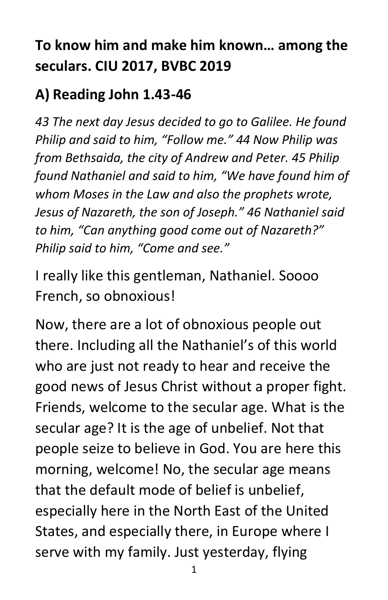# **To know him and make him known… among the seculars. CIU 2017, BVBC 2019**

## **A) Reading John 1.43-46**

*43 The next day Jesus decided to go to Galilee. He found Philip and said to him, "Follow me." 44 Now Philip was from Bethsaida, the city of Andrew and Peter. 45 Philip found Nathaniel and said to him, "We have found him of whom Moses in the Law and also the prophets wrote, Jesus of Nazareth, the son of Joseph." 46 Nathaniel said to him, "Can anything good come out of Nazareth?" Philip said to him, "Come and see."*

I really like this gentleman, Nathaniel. Soooo French, so obnoxious!

Now, there are a lot of obnoxious people out there. Including all the Nathaniel's of this world who are just not ready to hear and receive the good news of Jesus Christ without a proper fight. Friends, welcome to the secular age. What is the secular age? It is the age of unbelief. Not that people seize to believe in God. You are here this morning, welcome! No, the secular age means that the default mode of belief is unbelief, especially here in the North East of the United States, and especially there, in Europe where I serve with my family. Just yesterday, flying

1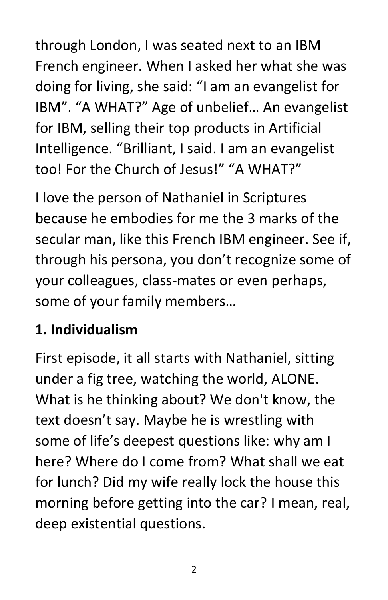through London, I was seated next to an IBM French engineer. When I asked her what she was doing for living, she said: "I am an evangelist for IBM". "A WHAT?" Age of unbelief… An evangelist for IBM, selling their top products in Artificial Intelligence. "Brilliant, I said. I am an evangelist too! For the Church of Jesus!" "A WHAT?"

I love the person of Nathaniel in Scriptures because he embodies for me the 3 marks of the secular man, like this French IBM engineer. See if, through his persona, you don't recognize some of your colleagues, class-mates or even perhaps, some of your family members…

### **1. Individualism**

First episode, it all starts with Nathaniel, sitting under a fig tree, watching the world, ALONE. What is he thinking about? We don't know, the text doesn't say. Maybe he is wrestling with some of life's deepest questions like: why am I here? Where do I come from? What shall we eat for lunch? Did my wife really lock the house this morning before getting into the car? I mean, real, deep existential questions.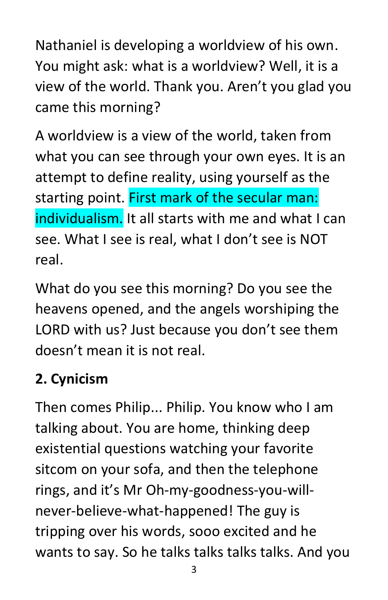Nathaniel is developing a worldview of his own. You might ask: what is a worldview? Well, it is a view of the world. Thank you. Aren't you glad you came this morning?

A worldview is a view of the world, taken from what you can see through your own eyes. It is an attempt to define reality, using yourself as the starting point. First mark of the secular man: individualism. It all starts with me and what I can see. What I see is real, what I don't see is NOT real.

What do you see this morning? Do you see the heavens opened, and the angels worshiping the LORD with us? Just because you don't see them doesn't mean it is not real.

# **2. Cynicism**

Then comes Philip... Philip. You know who I am talking about. You are home, thinking deep existential questions watching your favorite sitcom on your sofa, and then the telephone rings, and it's Mr Oh-my-goodness-you-willnever-believe-what-happened! The guy is tripping over his words, sooo excited and he wants to say. So he talks talks talks talks. And you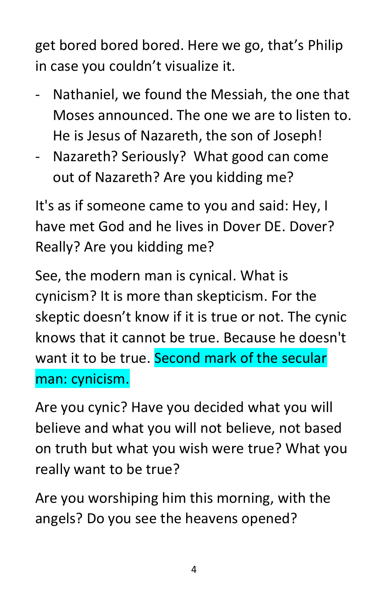get bored bored bored. Here we go, that's Philip in case you couldn't visualize it.

- Nathaniel, we found the Messiah, the one that Moses announced. The one we are to listen to. He is Jesus of Nazareth, the son of Joseph!
- Nazareth? Seriously? What good can come out of Nazareth? Are you kidding me?

It's as if someone came to you and said: Hey, I have met God and he lives in Dover DE. Dover? Really? Are you kidding me?

See, the modern man is cynical. What is cynicism? It is more than skepticism. For the skeptic doesn't know if it is true or not. The cynic knows that it cannot be true. Because he doesn't want it to be true. Second mark of the secular man: cynicism.

Are you cynic? Have you decided what you will believe and what you will not believe, not based on truth but what you wish were true? What you really want to be true?

Are you worshiping him this morning, with the angels? Do you see the heavens opened?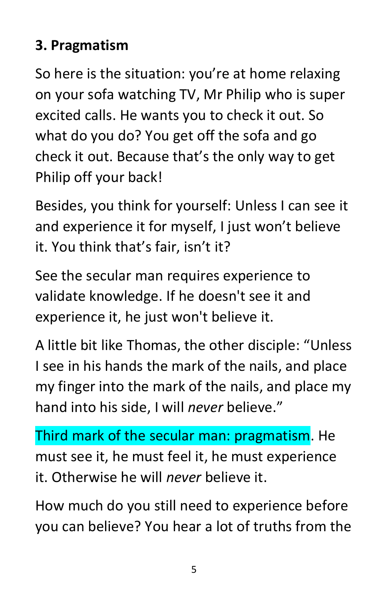## **3. Pragmatism**

So here is the situation: you're at home relaxing on your sofa watching TV, Mr Philip who is super excited calls. He wants you to check it out. So what do you do? You get off the sofa and go check it out. Because that's the only way to get Philip off your back!

Besides, you think for yourself: Unless I can see it and experience it for myself, I just won't believe it. You think that's fair, isn't it?

See the secular man requires experience to validate knowledge. If he doesn't see it and experience it, he just won't believe it.

A little bit like Thomas, the other disciple: "Unless I see in his hands the mark of the nails, and place my finger into the mark of the nails, and place my hand into his side, I will *never* believe."

Third mark of the secular man: pragmatism. He must see it, he must feel it, he must experience it. Otherwise he will *never* believe it.

How much do you still need to experience before you can believe? You hear a lot of truths from the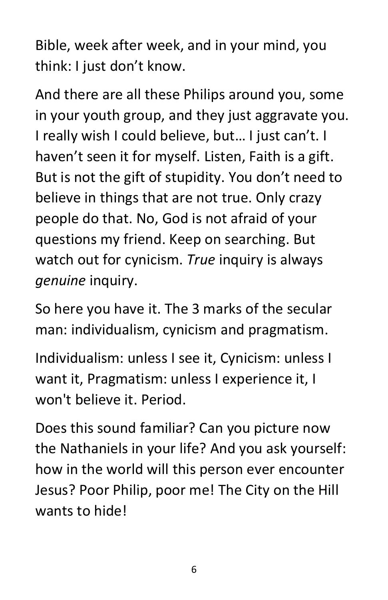Bible, week after week, and in your mind, you think: I just don't know.

And there are all these Philips around you, some in your youth group, and they just aggravate you. I really wish I could believe, but… I just can't. I haven't seen it for myself. Listen, Faith is a gift. But is not the gift of stupidity. You don't need to believe in things that are not true. Only crazy people do that. No, God is not afraid of your questions my friend. Keep on searching. But watch out for cynicism. *True* inquiry is always *genuine* inquiry.

So here you have it. The 3 marks of the secular man: individualism, cynicism and pragmatism.

Individualism: unless I see it, Cynicism: unless I want it, Pragmatism: unless I experience it, I won't believe it. Period.

Does this sound familiar? Can you picture now the Nathaniels in your life? And you ask yourself: how in the world will this person ever encounter Jesus? Poor Philip, poor me! The City on the Hill wants to hide!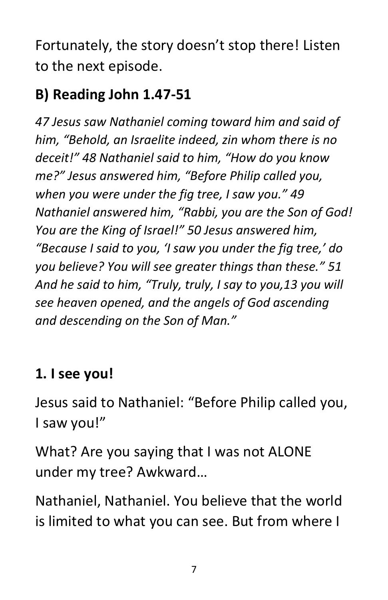Fortunately, the story doesn't stop there! Listen to the next episode.

## **B) Reading John 1.47-51**

*47 Jesus saw Nathaniel coming toward him and said of him, "Behold, an Israelite indeed, zin whom there is no deceit!" 48 Nathaniel said to him, "How do you know me?" Jesus answered him, "Before Philip called you, when you were under the fig tree, I saw you." 49 Nathaniel answered him, "Rabbi, you are the Son of God! You are the King of Israel!" 50 Jesus answered him, "Because I said to you, 'I saw you under the fig tree,' do you believe? You will see greater things than these." 51 And he said to him, "Truly, truly, I say to you,13 you will see heaven opened, and the angels of God ascending and descending on the Son of Man."*

## **1. I see you!**

Jesus said to Nathaniel: "Before Philip called you, I saw you!"

What? Are you saying that I was not ALONE under my tree? Awkward…

Nathaniel, Nathaniel. You believe that the world is limited to what you can see. But from where I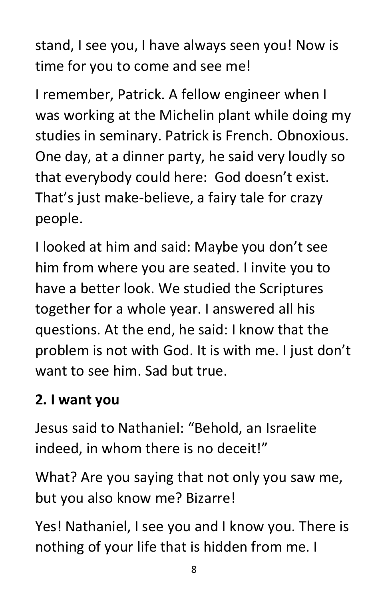stand, I see you, I have always seen you! Now is time for you to come and see me!

I remember, Patrick. A fellow engineer when I was working at the Michelin plant while doing my studies in seminary. Patrick is French. Obnoxious. One day, at a dinner party, he said very loudly so that everybody could here: God doesn't exist. That's just make-believe, a fairy tale for crazy people.

I looked at him and said: Maybe you don't see him from where you are seated. I invite you to have a better look. We studied the Scriptures together for a whole year. I answered all his questions. At the end, he said: I know that the problem is not with God. It is with me. I just don't want to see him. Sad but true.

#### **2. I want you**

Jesus said to Nathaniel: "Behold, an Israelite indeed, in whom there is no deceit!"

What? Are you saying that not only you saw me, but you also know me? Bizarre!

Yes! Nathaniel, I see you and I know you. There is nothing of your life that is hidden from me. I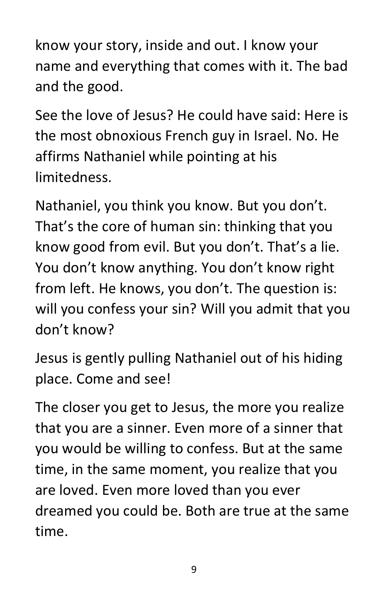know your story, inside and out. I know your name and everything that comes with it. The bad and the good.

See the love of Jesus? He could have said: Here is the most obnoxious French guy in Israel. No. He affirms Nathaniel while pointing at his limitedness.

Nathaniel, you think you know. But you don't. That's the core of human sin: thinking that you know good from evil. But you don't. That's a lie. You don't know anything. You don't know right from left. He knows, you don't. The question is: will you confess your sin? Will you admit that you don't know?

Jesus is gently pulling Nathaniel out of his hiding place. Come and see!

The closer you get to Jesus, the more you realize that you are a sinner. Even more of a sinner that you would be willing to confess. But at the same time, in the same moment, you realize that you are loved. Even more loved than you ever dreamed you could be. Both are true at the same time.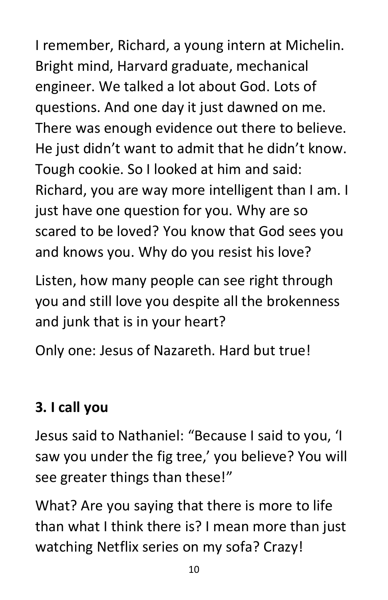I remember, Richard, a young intern at Michelin. Bright mind, Harvard graduate, mechanical engineer. We talked a lot about God. Lots of questions. And one day it just dawned on me. There was enough evidence out there to believe. He just didn't want to admit that he didn't know. Tough cookie. So I looked at him and said: Richard, you are way more intelligent than I am. I just have one question for you. Why are so scared to be loved? You know that God sees you and knows you. Why do you resist his love?

Listen, how many people can see right through you and still love you despite all the brokenness and junk that is in your heart?

Only one: Jesus of Nazareth. Hard but true!

## **3. I call you**

Jesus said to Nathaniel: "Because I said to you, 'I saw you under the fig tree,' you believe? You will see greater things than these!"

What? Are you saying that there is more to life than what I think there is? I mean more than just watching Netflix series on my sofa? Crazy!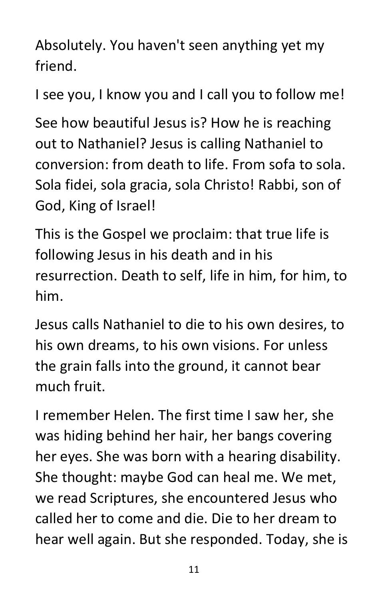Absolutely. You haven't seen anything yet my friend.

I see you, I know you and I call you to follow me!

See how beautiful Jesus is? How he is reaching out to Nathaniel? Jesus is calling Nathaniel to conversion: from death to life. From sofa to sola. Sola fidei, sola gracia, sola Christo! Rabbi, son of God, King of Israel!

This is the Gospel we proclaim: that true life is following Jesus in his death and in his resurrection. Death to self, life in him, for him, to him.

Jesus calls Nathaniel to die to his own desires, to his own dreams, to his own visions. For unless the grain falls into the ground, it cannot bear much fruit.

I remember Helen. The first time I saw her, she was hiding behind her hair, her bangs covering her eyes. She was born with a hearing disability. She thought: maybe God can heal me. We met, we read Scriptures, she encountered Jesus who called her to come and die. Die to her dream to hear well again. But she responded. Today, she is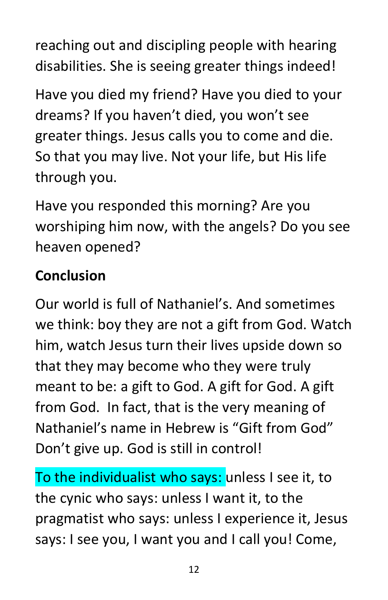reaching out and discipling people with hearing disabilities. She is seeing greater things indeed!

Have you died my friend? Have you died to your dreams? If you haven't died, you won't see greater things. Jesus calls you to come and die. So that you may live. Not your life, but His life through you.

Have you responded this morning? Are you worshiping him now, with the angels? Do you see heaven opened?

# **Conclusion**

Our world is full of Nathaniel's. And sometimes we think: boy they are not a gift from God. Watch him, watch Jesus turn their lives upside down so that they may become who they were truly meant to be: a gift to God. A gift for God. A gift from God. In fact, that is the very meaning of Nathaniel's name in Hebrew is "Gift from God" Don't give up. God is still in control!

To the individualist who says: unless I see it, to the cynic who says: unless I want it, to the pragmatist who says: unless I experience it, Jesus says: I see you, I want you and I call you! Come,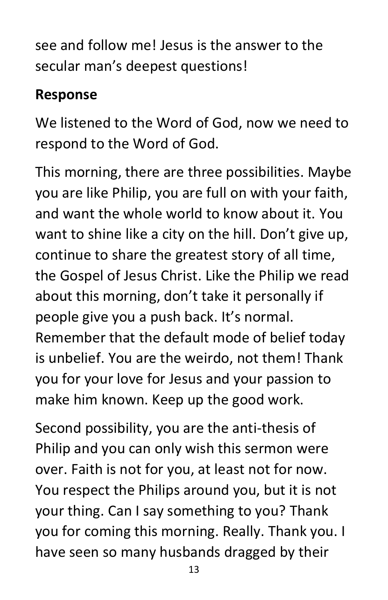see and follow me! Jesus is the answer to the secular man's deepest questions!

#### **Response**

We listened to the Word of God, now we need to respond to the Word of God.

This morning, there are three possibilities. Maybe you are like Philip, you are full on with your faith, and want the whole world to know about it. You want to shine like a city on the hill. Don't give up, continue to share the greatest story of all time, the Gospel of Jesus Christ. Like the Philip we read about this morning, don't take it personally if people give you a push back. It's normal. Remember that the default mode of belief today is unbelief. You are the weirdo, not them! Thank you for your love for Jesus and your passion to make him known. Keep up the good work.

Second possibility, you are the anti-thesis of Philip and you can only wish this sermon were over. Faith is not for you, at least not for now. You respect the Philips around you, but it is not your thing. Can I say something to you? Thank you for coming this morning. Really. Thank you. I have seen so many husbands dragged by their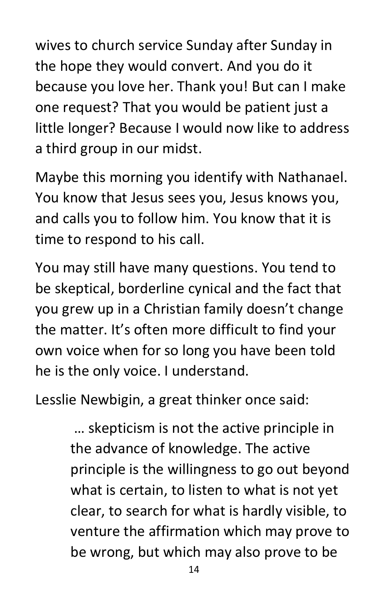wives to church service Sunday after Sunday in the hope they would convert. And you do it because you love her. Thank you! But can I make one request? That you would be patient just a little longer? Because I would now like to address a third group in our midst.

Maybe this morning you identify with Nathanael. You know that Jesus sees you, Jesus knows you, and calls you to follow him. You know that it is time to respond to his call.

You may still have many questions. You tend to be skeptical, borderline cynical and the fact that you grew up in a Christian family doesn't change the matter. It's often more difficult to find your own voice when for so long you have been told he is the only voice. I understand.

Lesslie Newbigin, a great thinker once said:

… skepticism is not the active principle in the advance of knowledge. The active principle is the willingness to go out beyond what is certain, to listen to what is not yet clear, to search for what is hardly visible, to venture the affirmation which may prove to be wrong, but which may also prove to be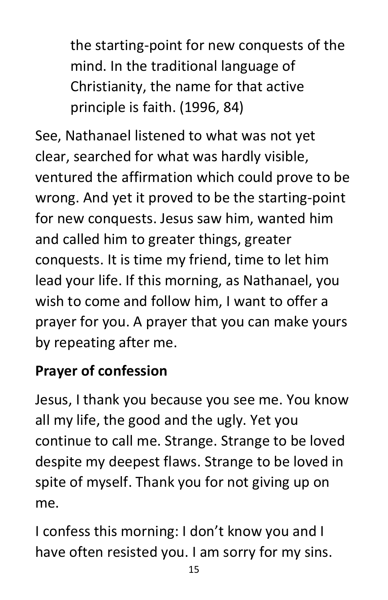the starting-point for new conquests of the mind. In the traditional language of Christianity, the name for that active principle is faith. (1996, 84)

See, Nathanael listened to what was not yet clear, searched for what was hardly visible, ventured the affirmation which could prove to be wrong. And yet it proved to be the starting-point for new conquests. Jesus saw him, wanted him and called him to greater things, greater conquests. It is time my friend, time to let him lead your life. If this morning, as Nathanael, you wish to come and follow him, I want to offer a prayer for you. A prayer that you can make yours by repeating after me.

# **Prayer of confession**

Jesus, I thank you because you see me. You know all my life, the good and the ugly. Yet you continue to call me. Strange. Strange to be loved despite my deepest flaws. Strange to be loved in spite of myself. Thank you for not giving up on me.

I confess this morning: I don't know you and I have often resisted you. I am sorry for my sins.